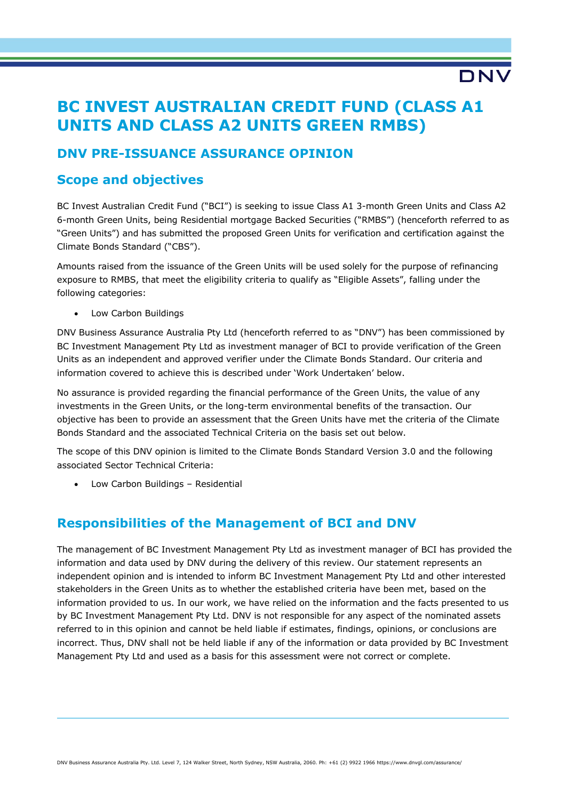# **BC INVEST AUSTRALIAN CREDIT FUND (CLASS A1 UNITS AND CLASS A2 UNITS GREEN RMBS)**

**DNV** 

# **DNV PRE-ISSUANCE ASSURANCE OPINION**

# **Scope and objectives**

BC Invest Australian Credit Fund ("BCI") is seeking to issue Class A1 3-month Green Units and Class A2 6-month Green Units, being Residential mortgage Backed Securities ("RMBS") (henceforth referred to as "Green Units") and has submitted the proposed Green Units for verification and certification against the Climate Bonds Standard ("CBS").

Amounts raised from the issuance of the Green Units will be used solely for the purpose of refinancing exposure to RMBS, that meet the eligibility criteria to qualify as "Eligible Assets", falling under the following categories:

• Low Carbon Buildings

DNV Business Assurance Australia Pty Ltd (henceforth referred to as "DNV") has been commissioned by BC Investment Management Pty Ltd as investment manager of BCI to provide verification of the Green Units as an independent and approved verifier under the Climate Bonds Standard. Our criteria and information covered to achieve this is described under 'Work Undertaken' below.

No assurance is provided regarding the financial performance of the Green Units, the value of any investments in the Green Units, or the long-term environmental benefits of the transaction. Our objective has been to provide an assessment that the Green Units have met the criteria of the Climate Bonds Standard and the associated Technical Criteria on the basis set out below.

The scope of this DNV opinion is limited to the Climate Bonds Standard Version 3.0 and the following associated Sector Technical Criteria:

• Low Carbon Buildings – Residential

# **Responsibilities of the Management of BCI and DNV**

The management of BC Investment Management Pty Ltd as investment manager of BCI has provided the information and data used by DNV during the delivery of this review. Our statement represents an independent opinion and is intended to inform BC Investment Management Pty Ltd and other interested stakeholders in the Green Units as to whether the established criteria have been met, based on the information provided to us. In our work, we have relied on the information and the facts presented to us by BC Investment Management Pty Ltd. DNV is not responsible for any aspect of the nominated assets referred to in this opinion and cannot be held liable if estimates, findings, opinions, or conclusions are incorrect. Thus, DNV shall not be held liable if any of the information or data provided by BC Investment Management Pty Ltd and used as a basis for this assessment were not correct or complete.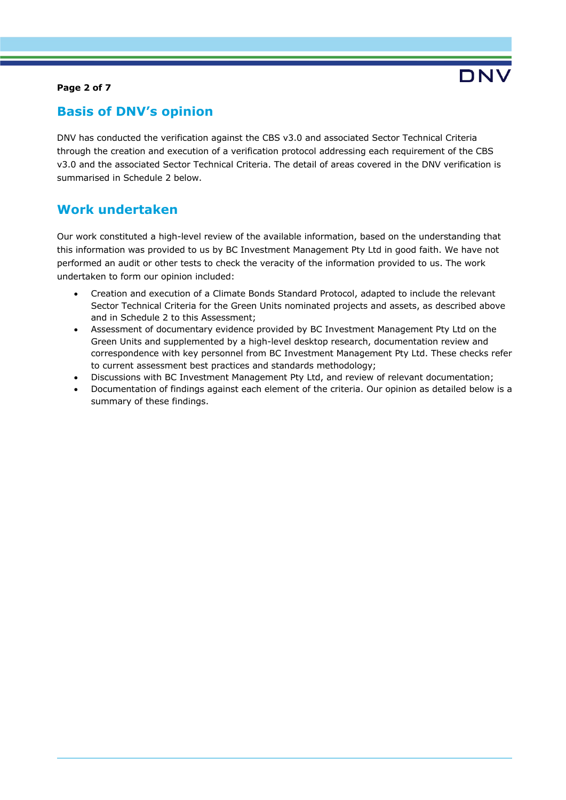#### **Page 2 of 7**

# **Basis of DNV's opinion**

DNV has conducted the verification against the CBS v3.0 and associated Sector Technical Criteria through the creation and execution of a verification protocol addressing each requirement of the CBS v3.0 and the associated Sector Technical Criteria. The detail of areas covered in the DNV verification is summarised in Schedule 2 below.

# **Work undertaken**

Our work constituted a high-level review of the available information, based on the understanding that this information was provided to us by BC Investment Management Pty Ltd in good faith. We have not performed an audit or other tests to check the veracity of the information provided to us. The work undertaken to form our opinion included:

- Creation and execution of a Climate Bonds Standard Protocol, adapted to include the relevant Sector Technical Criteria for the Green Units nominated projects and assets, as described above and in Schedule 2 to this Assessment;
- Assessment of documentary evidence provided by BC Investment Management Pty Ltd on the Green Units and supplemented by a high-level desktop research, documentation review and correspondence with key personnel from BC Investment Management Pty Ltd. These checks refer to current assessment best practices and standards methodology;
- Discussions with BC Investment Management Pty Ltd, and review of relevant documentation;
- Documentation of findings against each element of the criteria. Our opinion as detailed below is a summary of these findings.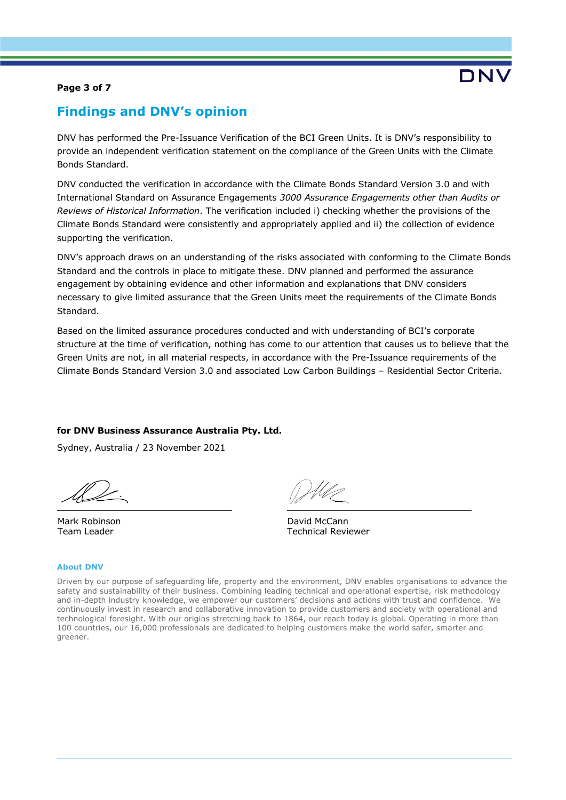#### **Page 3 of 7**

# **Findings and DNV's opinion**

DNV has performed the Pre-Issuance Verification of the BCI Green Units. It is DNV's responsibility to provide an independent verification statement on the compliance of the Green Units with the Climate Bonds Standard.

DNV conducted the verification in accordance with the Climate Bonds Standard Version 3.0 and with International Standard on Assurance Engagements *3000 Assurance Engagements other than Audits or Reviews of Historical Information*. The verification included i) checking whether the provisions of the Climate Bonds Standard were consistently and appropriately applied and ii) the collection of evidence supporting the verification.

DNV's approach draws on an understanding of the risks associated with conforming to the Climate Bonds Standard and the controls in place to mitigate these. DNV planned and performed the assurance engagement by obtaining evidence and other information and explanations that DNV considers necessary to give limited assurance that the Green Units meet the requirements of the Climate Bonds Standard.

Based on the limited assurance procedures conducted and with understanding of BCI's corporate structure at the time of verification, nothing has come to our attention that causes us to believe that the Green Units are not, in all material respects, in accordance with the Pre-Issuance requirements of the Climate Bonds Standard Version 3.0 and associated Low Carbon Buildings – Residential Sector Criteria.

### **for DNV Business Assurance Australia Pty. Ltd.**

Sydney, Australia / 23 November 2021

Mark Robinson Team Leader

David McCann Technical Reviewer

#### **About DNV**

Driven by our purpose of safeguarding life, property and the environment, DNV enables organisations to advance the safety and sustainability of their business. Combining leading technical and operational expertise, risk methodology and in-depth industry knowledge, we empower our customers' decisions and actions with trust and confidence. We continuously invest in research and collaborative innovation to provide customers and society with operational and technological foresight. With our origins stretching back to 1864, our reach today is global. Operating in more than 100 countries, our 16,000 professionals are dedicated to helping customers make the world safer, smarter and greener.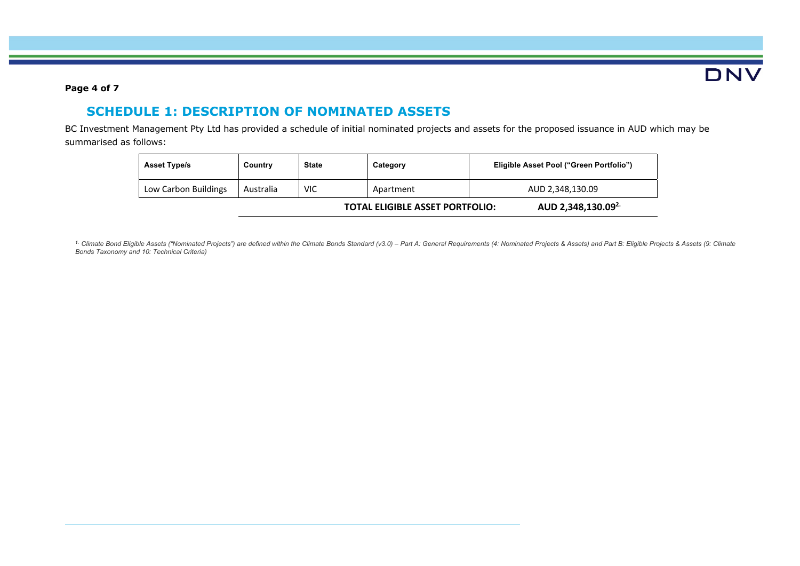

### **Page 4 of 7**

# **SCHEDULE 1: DESCRIPTION OF NOMINATED ASSETS**

BC Investment Management Pty Ltd has provided a schedule of initial nominated projects and assets for the proposed issuance in AUD which may be summarised as follows:

| <b>Asset Type/s</b>  | Country   | <b>State</b> | Category                               | Eligible Asset Pool ("Green Portfolio") |                                |
|----------------------|-----------|--------------|----------------------------------------|-----------------------------------------|--------------------------------|
| Low Carbon Buildings | Australia | VIC          | Apartment                              | AUD 2,348,130.09                        |                                |
|                      |           |              | <b>TOTAL ELIGIBLE ASSET PORTFOLIO:</b> |                                         | AUD 2,348,130.09 <sup>2.</sup> |

<sup>1.</sup> Climate Bond Eligible Assets ("Nominated Projects") are defined within the Climate Bonds Standard (v3.0) - Part A: General Requirements (4: Nominated Projects & Assets) and Part B: Eligible Projects & Assets (9: Clima *Bonds Taxonomy and 10: Technical Criteria)*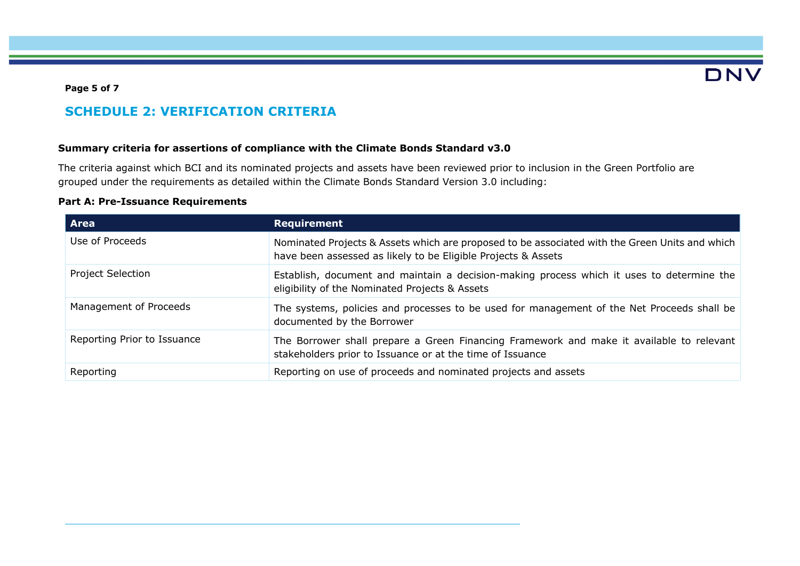# DNV

#### **Page 5 of 7**

# **SCHEDULE 2: VERIFICATION CRITERIA**

### **Summary criteria for assertions of compliance with the Climate Bonds Standard v3.0**

The criteria against which BCI and its nominated projects and assets have been reviewed prior to inclusion in the Green Portfolio are grouped under the requirements as detailed within the Climate Bonds Standard Version 3.0 including:

### **Part A: Pre-Issuance Requirements**

| <b>Area</b>                 | <b>Requirement</b>                                                                                                                                              |
|-----------------------------|-----------------------------------------------------------------------------------------------------------------------------------------------------------------|
| Use of Proceeds             | Nominated Projects & Assets which are proposed to be associated with the Green Units and which<br>have been assessed as likely to be Eligible Projects & Assets |
| <b>Project Selection</b>    | Establish, document and maintain a decision-making process which it uses to determine the<br>eligibility of the Nominated Projects & Assets                     |
| Management of Proceeds      | The systems, policies and processes to be used for management of the Net Proceeds shall be<br>documented by the Borrower                                        |
| Reporting Prior to Issuance | The Borrower shall prepare a Green Financing Framework and make it available to relevant<br>stakeholders prior to Issuance or at the time of Issuance           |
| Reporting                   | Reporting on use of proceeds and nominated projects and assets                                                                                                  |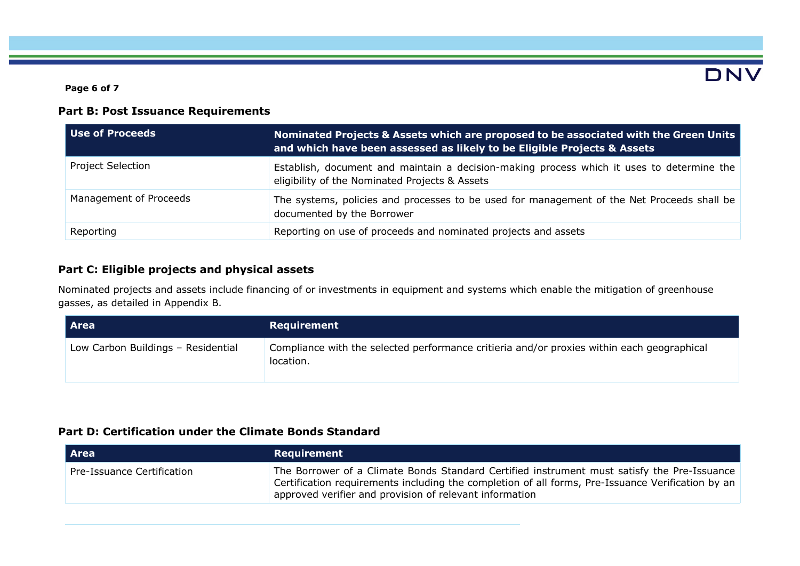**Page 6 of 7**

# DNV

## **Part B: Post Issuance Requirements**

| Use of Proceeds          | Nominated Projects & Assets which are proposed to be associated with the Green Units<br>and which have been assessed as likely to be Eligible Projects & Assets |  |
|--------------------------|-----------------------------------------------------------------------------------------------------------------------------------------------------------------|--|
| <b>Project Selection</b> | Establish, document and maintain a decision-making process which it uses to determine the<br>eligibility of the Nominated Projects & Assets                     |  |
| Management of Proceeds   | The systems, policies and processes to be used for management of the Net Proceeds shall be<br>documented by the Borrower                                        |  |
| Reporting                | Reporting on use of proceeds and nominated projects and assets                                                                                                  |  |

## **Part C: Eligible projects and physical assets**

Nominated projects and assets include financing of or investments in equipment and systems which enable the mitigation of greenhouse gasses, as detailed in Appendix B.

| Area                               | Requirement                                                                                             |
|------------------------------------|---------------------------------------------------------------------------------------------------------|
| Low Carbon Buildings - Residential | Compliance with the selected performance critieria and/or proxies within each geographical<br>location. |

# **Part D: Certification under the Climate Bonds Standard**

| <b>Area</b>                | Requirement                                                                                                                                                                                                                                                 |
|----------------------------|-------------------------------------------------------------------------------------------------------------------------------------------------------------------------------------------------------------------------------------------------------------|
| Pre-Issuance Certification | The Borrower of a Climate Bonds Standard Certified instrument must satisfy the Pre-Issuance<br>Certification requirements including the completion of all forms, Pre-Issuance Verification by an<br>approved verifier and provision of relevant information |